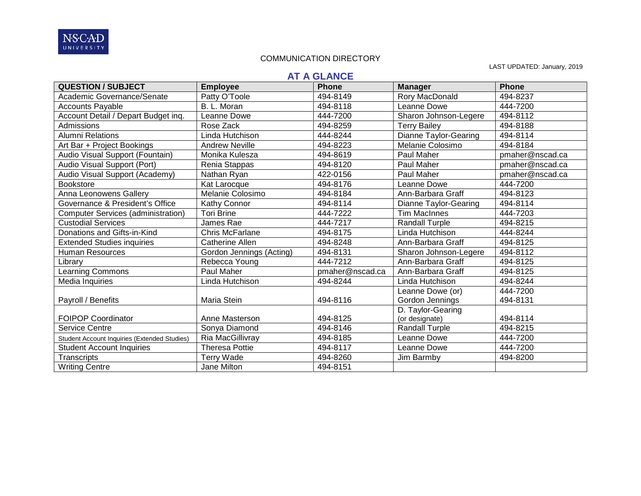

LAST UPDATED: January, 2019

# **AT A GLANCE**

| <b>QUESTION / SUBJECT</b>                    | <b>Employee</b>          | <b>Phone</b>    | <b>Manager</b>               | <b>Phone</b>    |
|----------------------------------------------|--------------------------|-----------------|------------------------------|-----------------|
| Academic Governance/Senate                   | Patty O'Toole            | 494-8149        | Rory MacDonald               | 494-8237        |
| <b>Accounts Payable</b>                      | B. L. Moran              | 494-8118        | Leanne Dowe                  | 444-7200        |
| Account Detail / Depart Budget inq.          | Leanne Dowe              | 444-7200        | Sharon Johnson-Legere        | 494-8112        |
| Admissions                                   | Rose Zack                | 494-8259        | <b>Terry Bailey</b>          | 494-8188        |
| <b>Alumni Relations</b>                      | Linda Hutchison          | 444-8244        | <b>Dianne Taylor-Gearing</b> | 494-8114        |
| Art Bar + Project Bookings                   | <b>Andrew Neville</b>    | 494-8223        | Melanie Colosimo             | 494-8184        |
| Audio Visual Support (Fountain)              | Monika Kulesza           | 494-8619        | Paul Maher                   | pmaher@nscad.ca |
| Audio Visual Support (Port)                  | Renia Stappas            | 494-8120        | Paul Maher                   | pmaher@nscad.ca |
| Audio Visual Support (Academy)               | Nathan Ryan              | 422-0156        | Paul Maher                   | pmaher@nscad.ca |
| <b>Bookstore</b>                             | Kat Larocque             | 494-8176        | Leanne Dowe                  | 444-7200        |
| Anna Leonowens Gallery                       | Melanie Colosimo         | 494-8184        | Ann-Barbara Graff            | 494-8123        |
| Governance & President's Office              | Kathy Connor             | 494-8114        | <b>Dianne Taylor-Gearing</b> | 494-8114        |
| <b>Computer Services (administration)</b>    | <b>Tori Brine</b>        | 444-7222        | <b>Tim MacInnes</b>          | 444-7203        |
| <b>Custodial Services</b>                    | James Rae                | 444-7217        | <b>Randall Turple</b>        | 494-8215        |
| Donations and Gifts-in-Kind                  | <b>Chris McFarlane</b>   | 494-8175        | Linda Hutchison              | 444-8244        |
| <b>Extended Studies inquiries</b>            | Catherine Allen          | 494-8248        | Ann-Barbara Graff            | 494-8125        |
| <b>Human Resources</b>                       | Gordon Jennings (Acting) | 494-8131        | Sharon Johnson-Legere        | 494-8112        |
| Library                                      | Rebecca Young            | 444-7212        | Ann-Barbara Graff            | 494-8125        |
| <b>Learning Commons</b>                      | Paul Maher               | pmaher@nscad.ca | Ann-Barbara Graff            | 494-8125        |
| Media Inquiries                              | Linda Hutchison          | 494-8244        | Linda Hutchison              | 494-8244        |
|                                              |                          |                 | Leanne Dowe (or)             | 444-7200        |
| Payroll / Benefits                           | Maria Stein              | 494-8116        | Gordon Jennings              | 494-8131        |
|                                              |                          |                 | D. Taylor-Gearing            |                 |
| <b>FOIPOP Coordinator</b>                    | Anne Masterson           | 494-8125        | (or designate)               | 494-8114        |
| <b>Service Centre</b>                        | Sonya Diamond            | 494-8146        | <b>Randall Turple</b>        | 494-8215        |
| Student Account Inquiries (Extended Studies) | Ria MacGillivray         | 494-8185        | Leanne Dowe                  | 444-7200        |
| <b>Student Account Inquiries</b>             | <b>Theresa Pottie</b>    | 494-8117        | Leanne Dowe                  | 444-7200        |
| Transcripts                                  | Terry Wade               | 494-8260        | Jim Barmby                   | 494-8200        |
| <b>Writing Centre</b>                        | Jane Milton              | 494-8151        |                              |                 |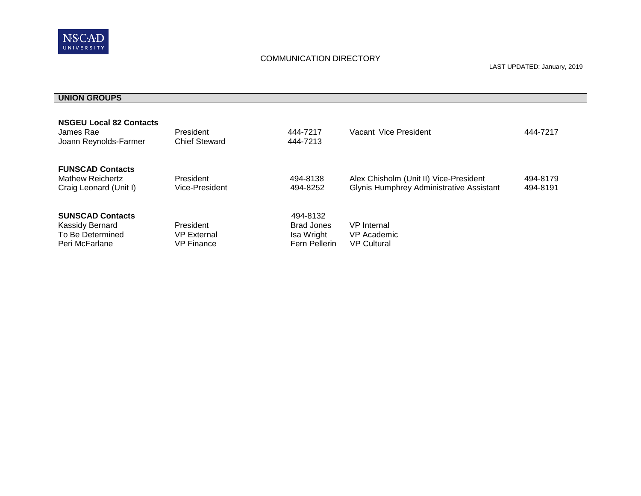

# **UNION GROUPS**

| <b>NSGEU Local 82 Contacts</b><br>James Rae<br>Joann Reynolds-Farmer             | President<br><b>Chief Steward</b>                    | 444-7217<br>444-7213                                         | Vacant Vice President                                                              | 444-7217             |
|----------------------------------------------------------------------------------|------------------------------------------------------|--------------------------------------------------------------|------------------------------------------------------------------------------------|----------------------|
| <b>FUNSCAD Contacts</b><br><b>Mathew Reichertz</b><br>Craig Leonard (Unit I)     | President<br>Vice-President                          | 494-8138<br>494-8252                                         | Alex Chisholm (Unit II) Vice-President<br>Glynis Humphrey Administrative Assistant | 494-8179<br>494-8191 |
| <b>SUNSCAD Contacts</b><br>Kassidy Bernard<br>To Be Determined<br>Peri McFarlane | President<br><b>VP External</b><br><b>VP Finance</b> | 494-8132<br><b>Brad Jones</b><br>Isa Wright<br>Fern Pellerin | <b>VP</b> Internal<br>VP Academic<br><b>VP Cultural</b>                            |                      |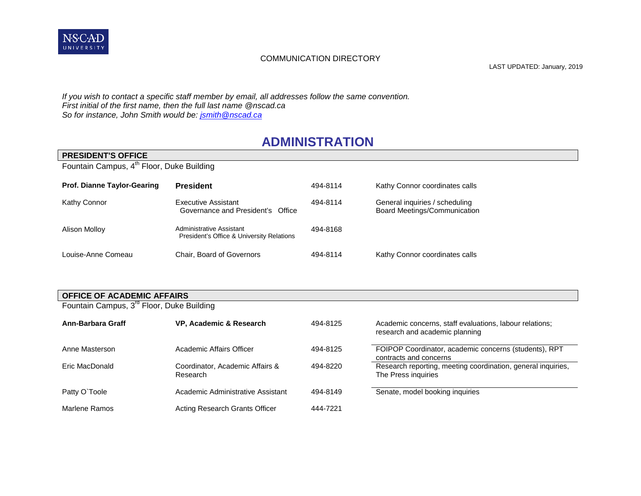

LAST UPDATED: January, 2019

*If you wish to contact a specific staff member by email, all addresses follow the same convention. First initial of the first name, then the full last name @nscad.ca So for instance, John Smith would be: [jsmith@nscad.ca](mailto:jsmith@nscad.ca)*

# **ADMINISTRATION**

| <b>PRESIDENT'S OFFICE</b>                             |                                                                       |          |                                                                |  |  |
|-------------------------------------------------------|-----------------------------------------------------------------------|----------|----------------------------------------------------------------|--|--|
| Fountain Campus, 4 <sup>th</sup> Floor, Duke Building |                                                                       |          |                                                                |  |  |
|                                                       |                                                                       |          |                                                                |  |  |
| <b>Prof. Dianne Taylor-Gearing</b>                    | <b>President</b>                                                      | 494-8114 | Kathy Connor coordinates calls                                 |  |  |
| Kathy Connor                                          | Executive Assistant<br>Governance and President's Office              | 494-8114 | General inquiries / scheduling<br>Board Meetings/Communication |  |  |
| Alison Molloy                                         | Administrative Assistant<br>President's Office & University Relations | 494-8168 |                                                                |  |  |
| Louise-Anne Comeau                                    | Chair, Board of Governors                                             | 494-8114 | Kathy Connor coordinates calls                                 |  |  |

#### **OFFICE OF ACADEMIC AFFAIRS**

Fountain Campus, 3<sup>rd</sup> Floor, Duke Building

| Ann-Barbara Graff | VP, Academic & Research                     | 494-8125 | Academic concerns, staff evaluations, labour relations;<br>research and academic planning |
|-------------------|---------------------------------------------|----------|-------------------------------------------------------------------------------------------|
| Anne Masterson    | Academic Affairs Officer                    | 494-8125 | FOIPOP Coordinator, academic concerns (students), RPT<br>contracts and concerns           |
| Eric MacDonald    | Coordinator, Academic Affairs &<br>Research | 494-8220 | Research reporting, meeting coordination, general inquiries,<br>The Press inquiries       |
| Patty O'Toole     | Academic Administrative Assistant           | 494-8149 | Senate, model booking inquiries                                                           |
| Marlene Ramos     | Acting Research Grants Officer              | 444-7221 |                                                                                           |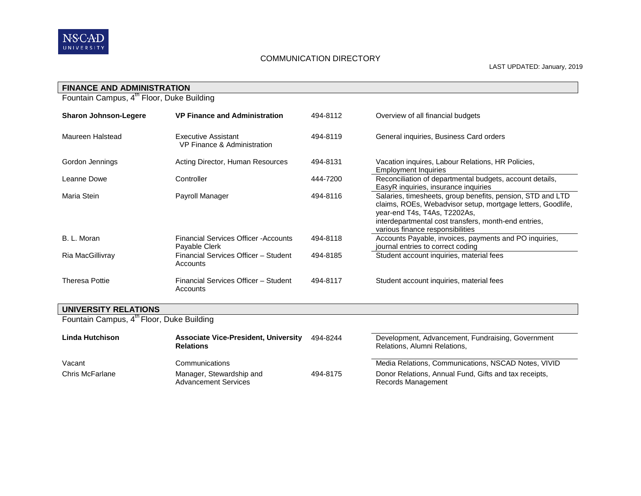

| <b>FINANCE AND ADMINISTRATION</b>                     |                                                               |          |                                                                                                                                                                                                                                                       |
|-------------------------------------------------------|---------------------------------------------------------------|----------|-------------------------------------------------------------------------------------------------------------------------------------------------------------------------------------------------------------------------------------------------------|
| Fountain Campus, 4 <sup>th</sup> Floor, Duke Building |                                                               |          |                                                                                                                                                                                                                                                       |
| <b>Sharon Johnson-Legere</b>                          | <b>VP Finance and Administration</b>                          | 494-8112 | Overview of all financial budgets                                                                                                                                                                                                                     |
| Maureen Halstead                                      | Executive Assistant<br>VP Finance & Administration            | 494-8119 | General inquiries, Business Card orders                                                                                                                                                                                                               |
| Gordon Jennings                                       | Acting Director, Human Resources                              | 494-8131 | Vacation inquires, Labour Relations, HR Policies,<br><b>Employment Inquiries</b>                                                                                                                                                                      |
| Leanne Dowe                                           | Controller                                                    | 444-7200 | Reconciliation of departmental budgets, account details,<br>EasyR inquiries, insurance inquiries                                                                                                                                                      |
| Maria Stein                                           | Payroll Manager                                               | 494-8116 | Salaries, timesheets, group benefits, pension, STD and LTD<br>claims, ROEs, Webadvisor setup, mortgage letters, Goodlife,<br>year-end T4s, T4As, T2202As,<br>interdepartmental cost transfers, month-end entries,<br>various finance responsibilities |
| B. L. Moran                                           | <b>Financial Services Officer - Accounts</b><br>Payable Clerk | 494-8118 | Accounts Payable, invoices, payments and PO inquiries,<br>journal entries to correct coding                                                                                                                                                           |
| Ria MacGillivray                                      | Financial Services Officer - Student<br>Accounts              | 494-8185 | Student account inquiries, material fees                                                                                                                                                                                                              |
| <b>Theresa Pottie</b>                                 | Financial Services Officer - Student<br>Accounts              | 494-8117 | Student account inquiries, material fees                                                                                                                                                                                                              |

#### **UNIVERSITY RELATIONS**

Fountain Campus, 4<sup>th</sup> Floor, Duke Building

| Linda Hutchison | <b>Associate Vice-President, University</b><br><b>Relations</b> | 494-8244 | Development, Advancement, Fundraising, Government<br>Relations, Alumni Relations, |
|-----------------|-----------------------------------------------------------------|----------|-----------------------------------------------------------------------------------|
| Vacant          | Communications                                                  |          | Media Relations, Communications, NSCAD Notes, VIVID                               |
| Chris McFarlane | Manager, Stewardship and<br><b>Advancement Services</b>         | 494-8175 | Donor Relations, Annual Fund, Gifts and tax receipts,<br>Records Management       |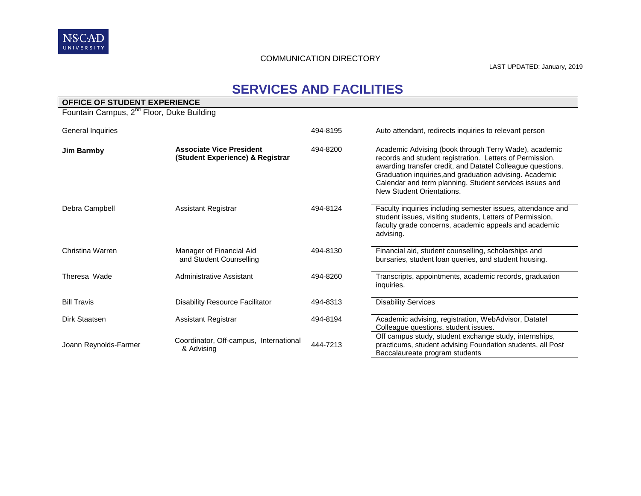

# **SERVICES AND FACILITIES**

| OFFICE OF STUDENT EXPERIENCE                          |                                                                     |          |                                                                                                                                                                                                                                                                                                                                    |  |  |
|-------------------------------------------------------|---------------------------------------------------------------------|----------|------------------------------------------------------------------------------------------------------------------------------------------------------------------------------------------------------------------------------------------------------------------------------------------------------------------------------------|--|--|
| Fountain Campus, 2 <sup>nd</sup> Floor, Duke Building |                                                                     |          |                                                                                                                                                                                                                                                                                                                                    |  |  |
| General Inquiries                                     |                                                                     | 494-8195 | Auto attendant, redirects inquiries to relevant person                                                                                                                                                                                                                                                                             |  |  |
| <b>Jim Barmby</b>                                     | <b>Associate Vice President</b><br>(Student Experience) & Registrar | 494-8200 | Academic Advising (book through Terry Wade), academic<br>records and student registration. Letters of Permission,<br>awarding transfer credit, and Datatel Colleague questions.<br>Graduation inquiries, and graduation advising. Academic<br>Calendar and term planning. Student services issues and<br>New Student Orientations. |  |  |
| Debra Campbell                                        | <b>Assistant Registrar</b>                                          | 494-8124 | Faculty inquiries including semester issues, attendance and<br>student issues, visiting students, Letters of Permission,<br>faculty grade concerns, academic appeals and academic<br>advising.                                                                                                                                     |  |  |
| Christina Warren                                      | Manager of Financial Aid<br>and Student Counselling                 | 494-8130 | Financial aid, student counselling, scholarships and<br>bursaries, student loan queries, and student housing.                                                                                                                                                                                                                      |  |  |
| Theresa Wade                                          | Administrative Assistant                                            | 494-8260 | Transcripts, appointments, academic records, graduation<br>inquiries.                                                                                                                                                                                                                                                              |  |  |
| <b>Bill Travis</b>                                    | Disability Resource Facilitator                                     | 494-8313 | <b>Disability Services</b>                                                                                                                                                                                                                                                                                                         |  |  |
| Dirk Staatsen                                         | <b>Assistant Registrar</b>                                          | 494-8194 | Academic advising, registration, WebAdvisor, Datatel<br>Colleague questions, student issues.                                                                                                                                                                                                                                       |  |  |
| Joann Reynolds-Farmer                                 | Coordinator, Off-campus, International<br>& Advising                | 444-7213 | Off campus study, student exchange study, internships,<br>practicums, student advising Foundation students, all Post<br>Baccalaureate program students                                                                                                                                                                             |  |  |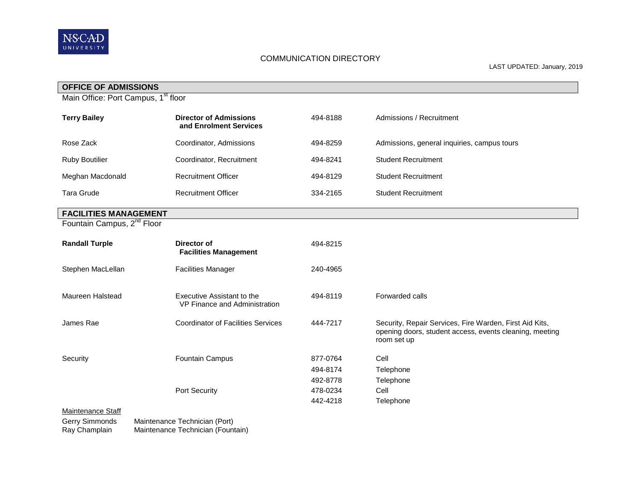

LAST UPDATED: January, 2019

| <b>OFFICE OF ADMISSIONS</b>                     |                                                             |          |                                                                                                                                   |
|-------------------------------------------------|-------------------------------------------------------------|----------|-----------------------------------------------------------------------------------------------------------------------------------|
| Main Office: Port Campus, 1 <sup>st</sup> floor |                                                             |          |                                                                                                                                   |
| <b>Terry Bailey</b>                             | <b>Director of Admissions</b><br>and Enrolment Services     | 494-8188 | Admissions / Recruitment                                                                                                          |
| Rose Zack                                       | Coordinator, Admissions                                     | 494-8259 | Admissions, general inquiries, campus tours                                                                                       |
| <b>Ruby Boutilier</b>                           | Coordinator, Recruitment                                    | 494-8241 | <b>Student Recruitment</b>                                                                                                        |
| Meghan Macdonald                                | <b>Recruitment Officer</b>                                  | 494-8129 | <b>Student Recruitment</b>                                                                                                        |
| <b>Tara Grude</b>                               | <b>Recruitment Officer</b>                                  | 334-2165 | <b>Student Recruitment</b>                                                                                                        |
| <b>FACILITIES MANAGEMENT</b>                    |                                                             |          |                                                                                                                                   |
| Fountain Campus, 2 <sup>nd</sup> Floor          |                                                             |          |                                                                                                                                   |
| <b>Randall Turple</b>                           | Director of<br><b>Facilities Management</b>                 | 494-8215 |                                                                                                                                   |
| Stephen MacLellan                               | <b>Facilities Manager</b>                                   | 240-4965 |                                                                                                                                   |
| Maureen Halstead                                | Executive Assistant to the<br>VP Finance and Administration | 494-8119 | Forwarded calls                                                                                                                   |
| James Rae                                       | <b>Coordinator of Facilities Services</b>                   | 444-7217 | Security, Repair Services, Fire Warden, First Aid Kits,<br>opening doors, student access, events cleaning, meeting<br>room set up |
| Security                                        | Fountain Campus                                             | 877-0764 | Cell                                                                                                                              |
|                                                 |                                                             | 494-8174 | Telephone                                                                                                                         |
|                                                 |                                                             | 492-8778 | Telephone                                                                                                                         |
|                                                 | Port Security                                               | 478-0234 | Cell                                                                                                                              |
|                                                 |                                                             | 442-4218 | Telephone                                                                                                                         |
| Maintenance Staff<br>Gerry Simmonds             | Maintenance Technician (Port)                               |          |                                                                                                                                   |

Ray Champlain Maintenance Technician (Fountain)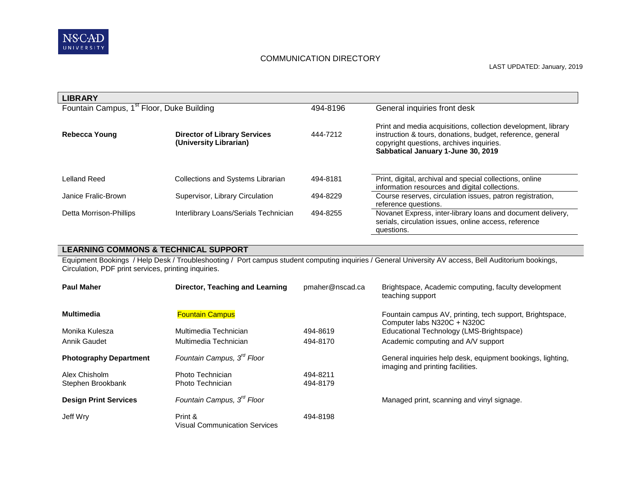

| <b>LIBRARY</b>                                        |                                                               |          |                                                                                                                                                                                                               |
|-------------------------------------------------------|---------------------------------------------------------------|----------|---------------------------------------------------------------------------------------------------------------------------------------------------------------------------------------------------------------|
| Fountain Campus, 1 <sup>st</sup> Floor, Duke Building |                                                               | 494-8196 | General inquiries front desk                                                                                                                                                                                  |
| Rebecca Young                                         | <b>Director of Library Services</b><br>(University Librarian) | 444-7212 | Print and media acquisitions, collection development, library<br>instruction & tours, donations, budget, reference, general<br>copyright questions, archives inquiries.<br>Sabbatical January 1-June 30, 2019 |
| Lelland Reed                                          | Collections and Systems Librarian                             | 494-8181 | Print, digital, archival and special collections, online<br>information resources and digital collections.                                                                                                    |
| Janice Fralic-Brown                                   | Supervisor, Library Circulation                               | 494-8229 | Course reserves, circulation issues, patron registration,<br>reference questions.                                                                                                                             |
| Detta Morrison-Phillips                               | Interlibrary Loans/Serials Technician                         | 494-8255 | Novanet Express, inter-library loans and document delivery,<br>serials, circulation issues, online access, reference<br>questions.                                                                            |

**LEARNING COMMONS & TECHNICAL SUPPORT**

Equipment Bookings / Help Desk / Troubleshooting / Port campus student computing inquiries / General University AV access, Bell Auditorium bookings, Circulation, PDF print services, printing inquiries.

| <b>Paul Maher</b>             | Director, Teaching and Learning                 | pmaher@nscad.ca | Brightspace, Academic computing, faculty development<br>teaching support                       |
|-------------------------------|-------------------------------------------------|-----------------|------------------------------------------------------------------------------------------------|
| <b>Multimedia</b>             | <b>Fountain Campus</b>                          |                 | Fountain campus AV, printing, tech support, Brightspace,<br>Computer labs N320C + N320C        |
| Monika Kulesza                | Multimedia Technician                           | 494-8619        | Educational Technology (LMS-Brightspace)                                                       |
| Annik Gaudet                  | Multimedia Technician                           | 494-8170        | Academic computing and A/V support                                                             |
| <b>Photography Department</b> | Fountain Campus, 3 <sup>rd</sup> Floor          |                 | General inquiries help desk, equipment bookings, lighting,<br>imaging and printing facilities. |
| Alex Chisholm                 | Photo Technician                                | 494-8211        |                                                                                                |
| Stephen Brookbank             | Photo Technician                                | 494-8179        |                                                                                                |
| <b>Design Print Services</b>  | Fountain Campus, 3 <sup>rd</sup> Floor          |                 | Managed print, scanning and vinyl signage.                                                     |
| Jeff Wry                      | Print &<br><b>Visual Communication Services</b> | 494-8198        |                                                                                                |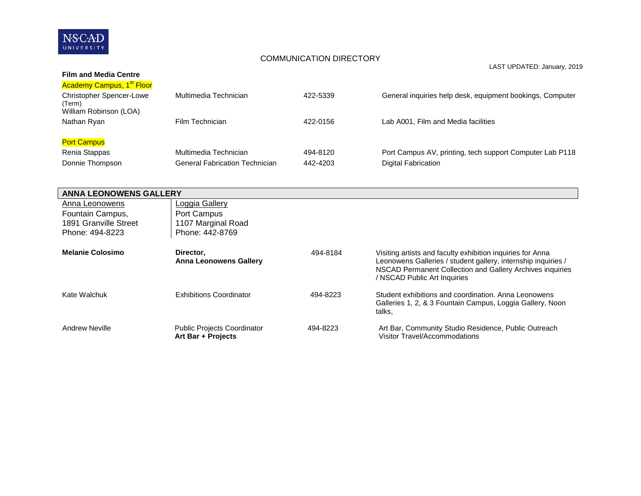

LAST UPDATED: January, 2019

| <b>Film and Media Centre</b>                                        |                                       |          |                                                           |
|---------------------------------------------------------------------|---------------------------------------|----------|-----------------------------------------------------------|
| <b>Academy Campus, 1<sup>st</sup> Floor</b>                         |                                       |          |                                                           |
| <b>Christopher Spencer-Lowe</b><br>(Term)<br>William Robinson (LOA) | Multimedia Technician                 | 422-5339 | General inquiries help desk, equipment bookings, Computer |
| Nathan Ryan                                                         | Film Technician                       | 422-0156 | Lab A001, Film and Media facilities                       |
| <b>Port Campus</b>                                                  |                                       |          |                                                           |
| Renia Stappas                                                       | Multimedia Technician                 | 494-8120 | Port Campus AV, printing, tech support Computer Lab P118  |
| Donnie Thompson                                                     | <b>General Fabrication Technician</b> | 442-4203 | Digital Fabrication                                       |

| <b>ANNA LEONOWENS GALLERY</b> |                                                          |          |                                                                                                                                                                                                                          |
|-------------------------------|----------------------------------------------------------|----------|--------------------------------------------------------------------------------------------------------------------------------------------------------------------------------------------------------------------------|
| Anna Leonowens                | Loggia Gallery                                           |          |                                                                                                                                                                                                                          |
| Fountain Campus,              | Port Campus                                              |          |                                                                                                                                                                                                                          |
| 1891 Granville Street         | 1107 Marginal Road                                       |          |                                                                                                                                                                                                                          |
| Phone: 494-8223               | Phone: 442-8769                                          |          |                                                                                                                                                                                                                          |
| <b>Melanie Colosimo</b>       | Director.<br><b>Anna Leonowens Gallery</b>               | 494-8184 | Visiting artists and faculty exhibition inquiries for Anna<br>Leonowens Galleries / student gallery, internship inquiries /<br>NSCAD Permanent Collection and Gallery Archives inquiries<br>/ NSCAD Public Art Inquiries |
| Kate Walchuk                  | <b>Exhibitions Coordinator</b>                           | 494-8223 | Student exhibitions and coordination. Anna Leonowens<br>Galleries 1, 2, & 3 Fountain Campus, Loggia Gallery, Noon<br>talks,                                                                                              |
| Andrew Neville                | <b>Public Projects Coordinator</b><br>Art Bar + Projects | 494-8223 | Art Bar, Community Studio Residence, Public Outreach<br>Visitor Travel/Accommodations                                                                                                                                    |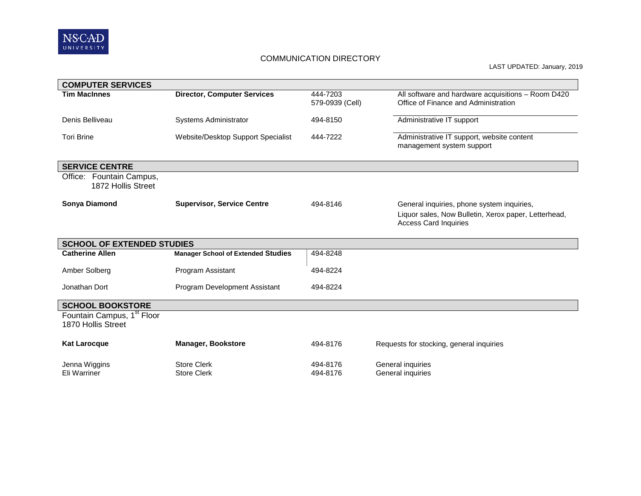

LAST UPDATED: January, 2019

| <b>COMPUTER SERVICES</b>                                     |                                           |                             |                                                                                                                                    |
|--------------------------------------------------------------|-------------------------------------------|-----------------------------|------------------------------------------------------------------------------------------------------------------------------------|
| <b>Tim MacInnes</b>                                          | <b>Director, Computer Services</b>        | 444-7203<br>579-0939 (Cell) | All software and hardware acquisitions - Room D420<br>Office of Finance and Administration                                         |
| Denis Belliveau                                              | Systems Administrator                     | 494-8150                    | Administrative IT support                                                                                                          |
| <b>Tori Brine</b>                                            | Website/Desktop Support Specialist        | 444-7222                    | Administrative IT support, website content<br>management system support                                                            |
| <b>SERVICE CENTRE</b>                                        |                                           |                             |                                                                                                                                    |
| Office: Fountain Campus,<br>1872 Hollis Street               |                                           |                             |                                                                                                                                    |
| <b>Sonya Diamond</b>                                         | <b>Supervisor, Service Centre</b>         | 494-8146                    | General inquiries, phone system inquiries,<br>Liquor sales, Now Bulletin, Xerox paper, Letterhead,<br><b>Access Card Inquiries</b> |
| <b>SCHOOL OF EXTENDED STUDIES</b>                            |                                           |                             |                                                                                                                                    |
| <b>Catherine Allen</b>                                       | <b>Manager School of Extended Studies</b> | 494-8248                    |                                                                                                                                    |
| Amber Solberg                                                | Program Assistant                         | 494-8224                    |                                                                                                                                    |
| Jonathan Dort                                                | Program Development Assistant             | 494-8224                    |                                                                                                                                    |
| <b>SCHOOL BOOKSTORE</b>                                      |                                           |                             |                                                                                                                                    |
| Fountain Campus, 1 <sup>st</sup> Floor<br>1870 Hollis Street |                                           |                             |                                                                                                                                    |
| <b>Kat Larocque</b>                                          | <b>Manager, Bookstore</b>                 | 494-8176                    | Requests for stocking, general inquiries                                                                                           |
| Jenna Wiggins<br>Eli Warriner                                | <b>Store Clerk</b><br><b>Store Clerk</b>  | 494-8176<br>494-8176        | General inquiries<br>General inquiries                                                                                             |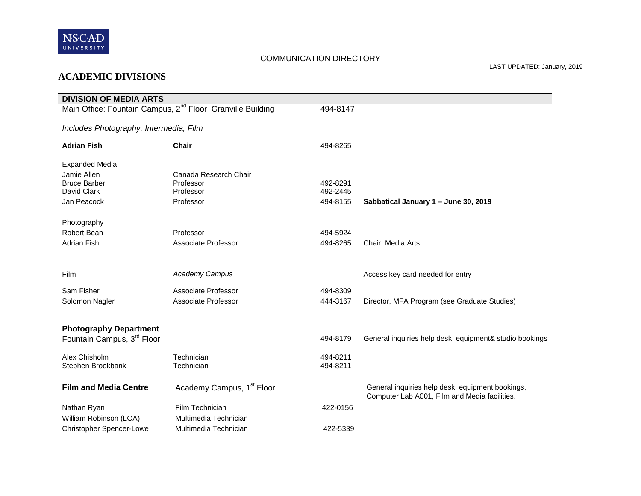

# **ACADEMIC DIVISIONS**

| <b>DIVISION OF MEDIA ARTS</b>                                          |                                       |                      |                                                                                                   |
|------------------------------------------------------------------------|---------------------------------------|----------------------|---------------------------------------------------------------------------------------------------|
| Main Office: Fountain Campus, 2 <sup>nd</sup> Floor Granville Building |                                       | 494-8147             |                                                                                                   |
| Includes Photography, Intermedia, Film                                 |                                       |                      |                                                                                                   |
| <b>Adrian Fish</b>                                                     | <b>Chair</b>                          | 494-8265             |                                                                                                   |
| <b>Expanded Media</b>                                                  |                                       |                      |                                                                                                   |
| Jamie Allen                                                            | Canada Research Chair                 |                      |                                                                                                   |
| <b>Bruce Barber</b>                                                    | Professor                             | 492-8291             |                                                                                                   |
| David Clark                                                            | Professor                             | 492-2445             |                                                                                                   |
| Jan Peacock                                                            | Professor                             | 494-8155             | Sabbatical January 1 - June 30, 2019                                                              |
| Photography                                                            |                                       |                      |                                                                                                   |
| Robert Bean                                                            | Professor                             | 494-5924             |                                                                                                   |
| <b>Adrian Fish</b>                                                     | Associate Professor                   | 494-8265             | Chair, Media Arts                                                                                 |
|                                                                        |                                       |                      |                                                                                                   |
| <b>Film</b>                                                            | Academy Campus                        |                      | Access key card needed for entry                                                                  |
| Sam Fisher                                                             | Associate Professor                   |                      |                                                                                                   |
|                                                                        |                                       | 494-8309             |                                                                                                   |
| Solomon Nagler                                                         | Associate Professor                   | 444-3167             | Director, MFA Program (see Graduate Studies)                                                      |
| <b>Photography Department</b>                                          |                                       |                      |                                                                                                   |
| Fountain Campus, 3 <sup>rd</sup> Floor                                 |                                       | 494-8179             | General inquiries help desk, equipment& studio bookings                                           |
|                                                                        |                                       |                      |                                                                                                   |
| Alex Chisholm<br>Stephen Brookbank                                     | Technician<br>Technician              | 494-8211<br>494-8211 |                                                                                                   |
|                                                                        |                                       |                      |                                                                                                   |
| <b>Film and Media Centre</b>                                           | Academy Campus, 1 <sup>st</sup> Floor |                      | General inquiries help desk, equipment bookings,<br>Computer Lab A001, Film and Media facilities. |
| Nathan Ryan                                                            | Film Technician                       | 422-0156             |                                                                                                   |
| William Robinson (LOA)                                                 | Multimedia Technician                 |                      |                                                                                                   |
| <b>Christopher Spencer-Lowe</b>                                        | Multimedia Technician                 | 422-5339             |                                                                                                   |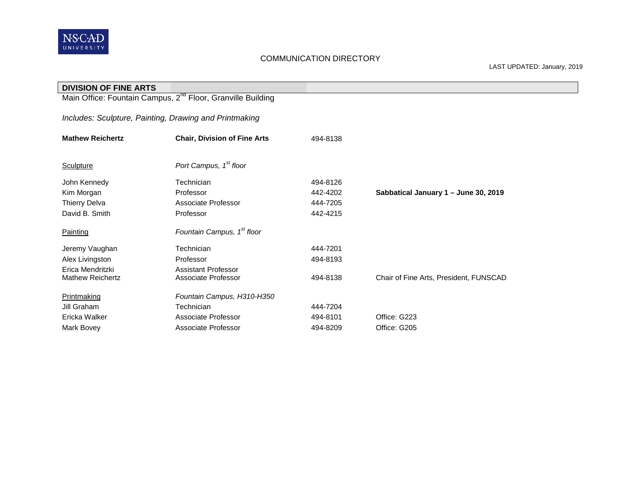

| <b>DIVISION OF FINE ARTS</b>                                            |                                        |          |                                        |  |  |
|-------------------------------------------------------------------------|----------------------------------------|----------|----------------------------------------|--|--|
| Main Office: Fountain Campus, 2 <sup>nd</sup> Floor, Granville Building |                                        |          |                                        |  |  |
|                                                                         |                                        |          |                                        |  |  |
| Includes: Sculpture, Painting, Drawing and Printmaking                  |                                        |          |                                        |  |  |
| <b>Mathew Reichertz</b>                                                 | <b>Chair, Division of Fine Arts</b>    | 494-8138 |                                        |  |  |
|                                                                         |                                        |          |                                        |  |  |
| Sculpture                                                               | Port Campus, 1 <sup>st</sup> floor     |          |                                        |  |  |
| John Kennedy                                                            | Technician                             | 494-8126 |                                        |  |  |
| Kim Morgan                                                              | Professor                              | 442-4202 | Sabbatical January 1 - June 30, 2019   |  |  |
| <b>Thierry Delva</b>                                                    | Associate Professor                    | 444-7205 |                                        |  |  |
| David B. Smith                                                          | Professor                              | 442-4215 |                                        |  |  |
| <b>Painting</b>                                                         | Fountain Campus, 1 <sup>st</sup> floor |          |                                        |  |  |
| Jeremy Vaughan                                                          | Technician                             | 444-7201 |                                        |  |  |
| Alex Livingston                                                         | Professor                              | 494-8193 |                                        |  |  |
| Erica Mendritzki                                                        | Assistant Professor                    |          |                                        |  |  |
| <b>Mathew Reichertz</b>                                                 | Associate Professor                    | 494-8138 | Chair of Fine Arts, President, FUNSCAD |  |  |
| Printmaking                                                             | Fountain Campus, H310-H350             |          |                                        |  |  |
| Jill Graham                                                             | Technician                             | 444-7204 |                                        |  |  |
| Ericka Walker                                                           | Associate Professor                    | 494-8101 | Office: G223                           |  |  |
| Mark Bovey                                                              | Associate Professor                    | 494-8209 | Office: G205                           |  |  |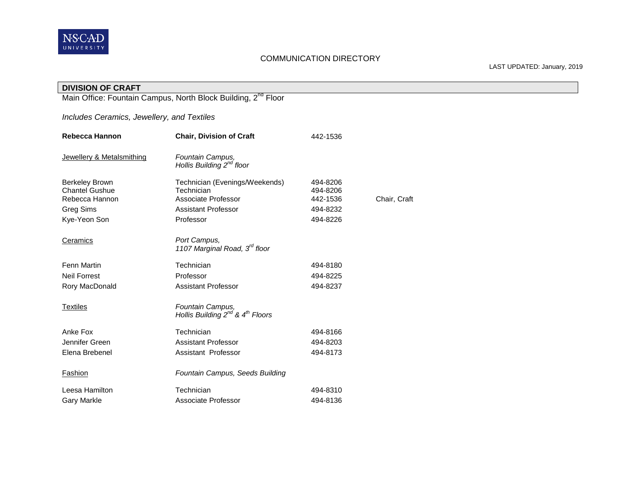

LAST UPDATED: January, 2019

| <b>DIVISION OF CRAFT</b>                                                  |                                                                              |                      |              |
|---------------------------------------------------------------------------|------------------------------------------------------------------------------|----------------------|--------------|
| Main Office: Fountain Campus, North Block Building, 2 <sup>nd</sup> Floor |                                                                              |                      |              |
|                                                                           |                                                                              |                      |              |
| Includes Ceramics, Jewellery, and Textiles                                |                                                                              |                      |              |
| Rebecca Hannon                                                            | <b>Chair, Division of Craft</b>                                              | 442-1536             |              |
| Jewellery & Metalsmithing                                                 | Fountain Campus,<br>Hollis Building 2 <sup>nd</sup> floor                    |                      |              |
| <b>Berkeley Brown</b>                                                     | Technician (Evenings/Weekends)                                               | 494-8206             |              |
| <b>Chantel Gushue</b>                                                     | Technician                                                                   | 494-8206             |              |
| Rebecca Hannon                                                            | Associate Professor<br><b>Assistant Professor</b>                            | 442-1536<br>494-8232 | Chair, Craft |
| <b>Greg Sims</b>                                                          | Professor                                                                    | 494-8226             |              |
| Kye-Yeon Son                                                              |                                                                              |                      |              |
| Ceramics                                                                  | Port Campus,<br>1107 Marginal Road, 3 <sup>rd</sup> floor                    |                      |              |
| <b>Fenn Martin</b>                                                        | Technician                                                                   | 494-8180             |              |
| <b>Neil Forrest</b>                                                       | Professor                                                                    | 494-8225             |              |
| Rory MacDonald                                                            | <b>Assistant Professor</b>                                                   | 494-8237             |              |
| <b>Textiles</b>                                                           | Fountain Campus,<br>Hollis Building 2 <sup>nd</sup> & 4 <sup>th</sup> Floors |                      |              |
| Anke Fox                                                                  | Technician                                                                   | 494-8166             |              |
| Jennifer Green                                                            | <b>Assistant Professor</b>                                                   | 494-8203             |              |
| Elena Brebenel                                                            | Assistant Professor                                                          | 494-8173             |              |
| <b>Fashion</b>                                                            | Fountain Campus, Seeds Building                                              |                      |              |
| Leesa Hamilton                                                            | Technician                                                                   | 494-8310             |              |
| <b>Gary Markle</b>                                                        | Associate Professor                                                          | 494-8136             |              |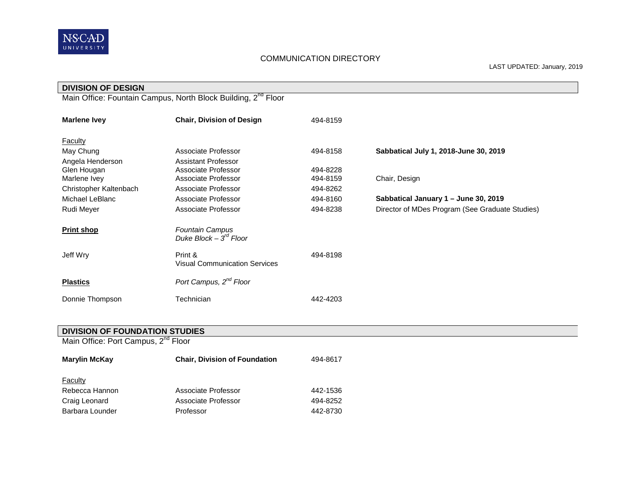

| <b>DIVISION OF DESIGN</b>                                                 |                                                       |          |                                                 |  |  |
|---------------------------------------------------------------------------|-------------------------------------------------------|----------|-------------------------------------------------|--|--|
| Main Office: Fountain Campus, North Block Building, 2 <sup>nd</sup> Floor |                                                       |          |                                                 |  |  |
| <b>Marlene Ivey</b>                                                       | <b>Chair, Division of Design</b>                      | 494-8159 |                                                 |  |  |
| <b>Faculty</b>                                                            |                                                       |          |                                                 |  |  |
| May Chung                                                                 | Associate Professor                                   | 494-8158 | Sabbatical July 1, 2018-June 30, 2019           |  |  |
| Angela Henderson                                                          | <b>Assistant Professor</b>                            |          |                                                 |  |  |
| Glen Hougan                                                               | Associate Professor                                   | 494-8228 |                                                 |  |  |
| Marlene Ivey                                                              | Associate Professor                                   | 494-8159 | Chair, Design                                   |  |  |
| Christopher Kaltenbach                                                    | Associate Professor                                   | 494-8262 |                                                 |  |  |
| Michael LeBlanc                                                           | Associate Professor                                   | 494-8160 | Sabbatical January 1 - June 30, 2019            |  |  |
| Rudi Meyer                                                                | Associate Professor                                   | 494-8238 | Director of MDes Program (See Graduate Studies) |  |  |
| <b>Print shop</b>                                                         | <b>Fountain Campus</b><br>Duke Block – $3^{rd}$ Floor |          |                                                 |  |  |
| Jeff Wry                                                                  | Print &<br><b>Visual Communication Services</b>       | 494-8198 |                                                 |  |  |
| <b>Plastics</b>                                                           | Port Campus, 2 <sup>nd</sup> Floor                    |          |                                                 |  |  |
| Donnie Thompson                                                           | Technician                                            | 442-4203 |                                                 |  |  |

#### **DIVISION OF FOUNDATION STUDIES**

Main Office: Port Campus, 2<sup>nd</sup> Floor

| <b>Marylin McKay</b> | <b>Chair, Division of Foundation</b> | 494-8617 |
|----------------------|--------------------------------------|----------|
| Faculty              |                                      |          |
| Rebecca Hannon       | Associate Professor                  | 442-1536 |
| Craig Leonard        | Associate Professor                  | 494-8252 |
| Barbara Lounder      | Professor                            | 442-8730 |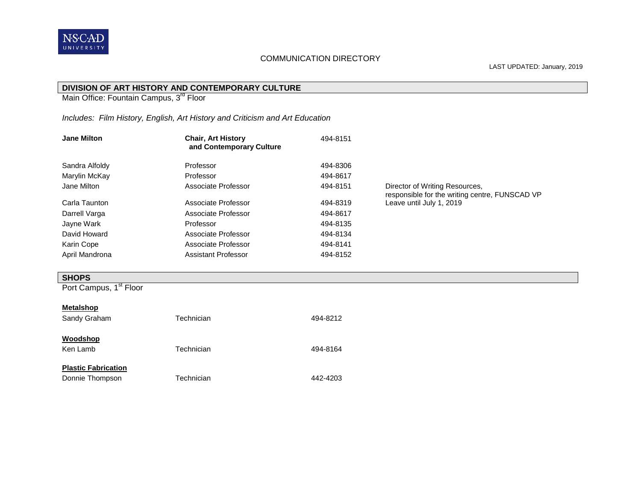

#### **DIVISION OF ART HISTORY AND CONTEMPORARY CULTURE**

Main Office: Fountain Campus, 3<sup>rd</sup> Floor

## *Includes: Film History, English, Art History and Criticism and Art Education*

| <b>Jane Milton</b> | <b>Chair, Art History</b><br>and Contemporary Culture | 494-8151 |                                                                                  |
|--------------------|-------------------------------------------------------|----------|----------------------------------------------------------------------------------|
| Sandra Alfoldy     | Professor                                             | 494-8306 |                                                                                  |
| Marylin McKay      | Professor                                             | 494-8617 |                                                                                  |
| Jane Milton        | Associate Professor                                   | 494-8151 | Director of Writing Resources,<br>responsible for the writing centre, FUNSCAD VP |
| Carla Taunton      | Associate Professor                                   | 494-8319 | Leave until July 1, 2019                                                         |
| Darrell Varga      | Associate Professor                                   | 494-8617 |                                                                                  |
| Jayne Wark         | Professor                                             | 494-8135 |                                                                                  |
| David Howard       | Associate Professor                                   | 494-8134 |                                                                                  |
| Karin Cope         | Associate Professor                                   | 494-8141 |                                                                                  |
| April Mandrona     | Assistant Professor                                   | 494-8152 |                                                                                  |

#### **SHOPS**

Port Campus, 1<sup>st</sup> Floor

#### **Metalshop**

| Sandy Graham                                  | Technician | 494-8212 |
|-----------------------------------------------|------------|----------|
| Woodshop<br>Ken Lamb                          | Technician | 494-8164 |
| <b>Plastic Fabrication</b><br>Donnie Thompson | Technician | 442-4203 |